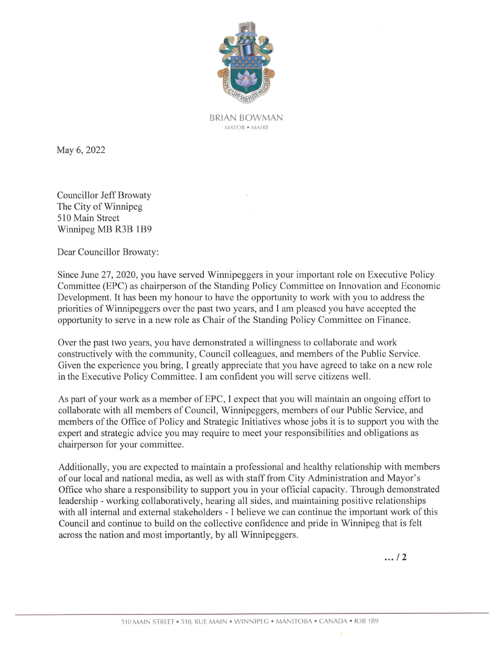

BRIAN BOWMAN MAYOR ¢ MAIRE

May 6, 2022

Councillor Jeff Browaty The City of Winnipeg 510 Main Street Winnipeg MB R3B 1B9

Dear Councillor Browaty:

Since June 27, 2020, you have served Winnipeggers in your important role on Executive Policy Committee (EPC) as chairperson of the Standing Policy Committee on Innovation and Economic Development. It has been my honour to have the opportunity to work with you to address the priorities of Winnipeggers over the past two years, and I am pleased you have accepted the opportunity to serve in a new role as Chair of the Standing Policy Committee on Finance.

Over the past two years, you have demonstrated a willingness to collaborate and work constructively with the community, Council colleagues, and members of the Public Service. Given the experience you bring, <sup>I</sup> greatly appreciate that you have agreed to take on <sup>a</sup> newrole in the Executive Policy Committee. <sup>I</sup> am confident you will serve citizens well.

As part of your work as a member of EPC, I expect that you will maintain an ongoing effort to collaborate with all members of Council, Winnipeggers, members of our Public Service, and members of the Office of Policy and Strategic Initiatives whose jobs it is to support you with the expert and strategic advice you may require to meet your responsibilities and obligations as chairperson for your committee.

by all Winnipe<br>AIN • WINNIPEG • Additionally, you are expected to maintain a professional and healthy relationship with members of our local and national media, as well as with staff from City Administration and Mayor's Office who share a responsibility to support you in your official capacity. Through demonstrated leadership - working collaboratively, hearing all sides, and maintaining positive relationships with all internal and external stakeholders - I believe we can continue the important work of this Council and continue to build on the collective confidence and pride in Winnipeg that is felt across the nation and most importantly, by all Winnipeggers. Neary 6, 2022<br>
Neary 6, 2022<br>
1880-06 (1978-06 1978-1981)<br>
Neary 6, 2022<br>
1880-06 (1978-06 1981-1981)<br>
The Caye of Warden Brownery<br>
The Caye MB R318 1189<br>
Dear Contactive (EPC) as change<br>proof of the Simultage and in orig

 $... 12$